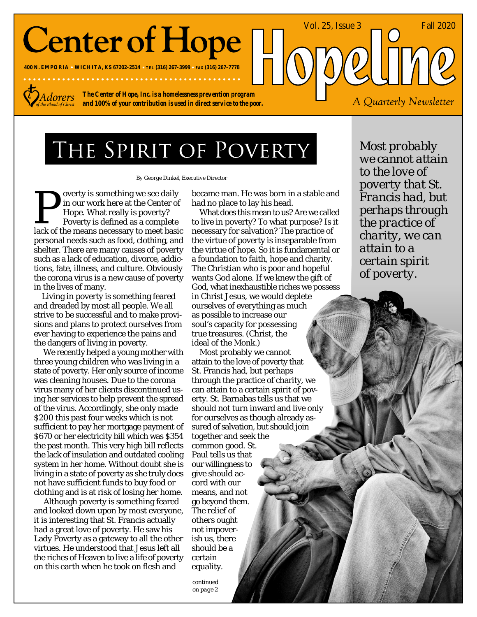# **Center of Hope**

**400 N. EMPORIA WICHITA, KS 67202-2514 TEL (316) 267-3999 FAX (316) 267-7778**



*The Center of Hope, Inc. is a homelessness prevention program and 100% of your contribution is used in direct service to the poor.*

### THE SPIRIT OF POVERTY

*By George Dinkel, Executive Director*

overty is something we see daily in our work here at the Center of Hope. What really is poverty? Poverty is defined as a complete exportly is something we see daily<br>in our work here at the Center of<br>Hope. What really is poverty?<br>Poverty is defined as a complete<br>lack of the means necessary to meet basic personal needs such as food, clothing, and shelter. There are many causes of poverty such as a lack of education, divorce, addictions, fate, illness, and culture. Obviously the corona virus is a new cause of poverty in the lives of many.

Living in poverty is something feared and dreaded by most all people. We all strive to be successful and to make provisions and plans to protect ourselves from ever having to experience the pains and the dangers of living in poverty.

 We recently helped a young mother with three young children who was living in a state of poverty. Her only source of income was cleaning houses. Due to the corona virus many of her clients discontinued using her services to help prevent the spread of the virus. Accordingly, she only made \$200 this past four weeks which is not sufficient to pay her mortgage payment of \$670 or her electricity bill which was \$354 the past month. This very high bill reflects the lack of insulation and outdated cooling system in her home. Without doubt she is living in a state of poverty as she truly does not have sufficient funds to buy food or clothing and is at risk of losing her home.

 Although poverty is something feared and looked down upon by most everyone, it is interesting that St. Francis actually had a great love of poverty. He saw his Lady Poverty as a gateway to all the other virtues. He understood that Jesus left all the riches of Heaven to live a life of poverty on this earth when he took on flesh and

became man. He was born in a stable and had no place to lay his head.

What does this mean to us? Are we called to live in poverty? To what purpose? Is it necessary for salvation? The practice of the virtue of poverty is inseparable from the virtue of hope. So it is fundamental or a foundation to faith, hope and charity. The Christian who is poor and hopeful wants God alone. If we knew the gift of God, what inexhaustible riches we possess in Christ Jesus, we would deplete ourselves of everything as much as possible to increase our soul's capacity for possessing true treasures. (Christ, the ideal of the Monk.)

Most probably we cannot attain to the love of poverty that St. Francis had, but perhaps through the practice of charity, we can attain to a certain spirit of poverty. St. Barnabas tells us that we should not turn inward and live only for ourselves as though already assured of salvation, but should join together and seek the common good. St. Paul tells us that our willingness to give should accord with our means, and not go beyond them. The relief of others ought not impoverish us, there should be a certain equality.

*continued on page 2*

*Most probably we cannot attain to the love of poverty that St. Francis had, but perhaps through the practice of charity, we can attain to a certain spirit of poverty.*

A Quarterly Newsletter

Vol. 25, Issue 3 <u>June 2020</u>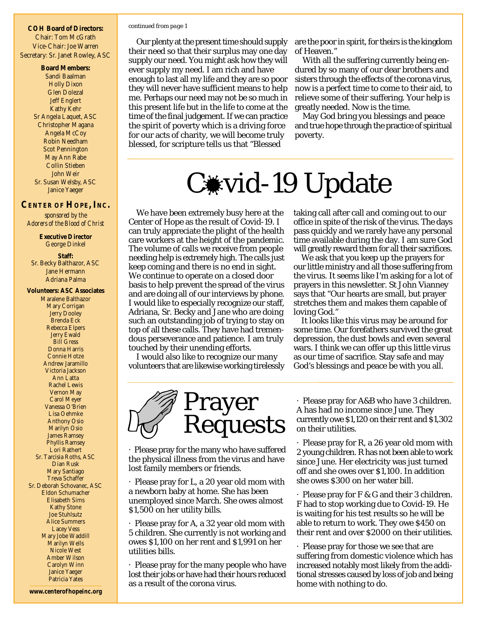**COH Board of Directors:** Chair: Tom McGrath Vice-Chair: Joe Warren Secretary: Sr. Janet Rowley, ASC

> **Board Members:** Sandi Baalman Holly Dixon Glen Dolezal Jeff Englert Kathy Kehr Sr Angela Laquet, ASC Christopher Magana Angela McCoy Robin Needham Scot Pennington May Ann Rabe Collin Stieben John Weir Sr. Susan Welsby, ASC Janice Yaeger

#### **CENTER OF HOPE, INC.**

*sponsored by the Adorers of the Blood of Christ*

> **Executive Director** George Dinkel

**Staff:** Sr. Becky Balthazor, ASC Jane Hermann Adriana Palma

**Volunteers: ASC Associates** Maralene Balthazor Mary Corrigan Jerry Dooley Brenda Eck Rebecca Elpers Jerry Ewald Bill Gress Donna Harris Connie Hotze Andrew Jaramillo Victoria Jackson Ann Latta Rachel Lewis Vernon May Carol Meyer Vanessa O'Brien Lisa Oehmke Anthony Osio Marilyn Osio James Ramsey Phyllis Ramsey Lori Rathert Sr. Tarcisia Roths, ASC Dian Rusk Mary Santiago Treva Schaffer Sr. Deborah Schovanec, ASC Eldon Schumacher Elisabeth Sims Kathy Stone Joe Stuhlsutz Alice Summers Lacey Vess Mary Jobe Waddill Marilyn Wells Nicole West Amber Wilson Carolyn Winn Janice Yaeger Patricia Yates

#### *continued from page 1*

Our plenty at the present time should supply their need so that their surplus may one day supply our need. You might ask how they will ever supply my need. I am rich and have enough to last all my life and they are so poor they will never have sufficient means to help me. Perhaps our need may not be so much in this present life but in the life to come at the time of the final judgement. If we can practice the spirit of poverty which is a driving force for our acts of charity, we will become truly blessed, for scripture tells us that "Blessed

are the poor in spirit, for theirs is the kingdom of Heaven."

With all the suffering currently being endured by so many of our dear brothers and sisters through the effects of the corona virus, now is a perfect time to come to their aid, to relieve some of their suffering. Your help is greatly needed. Now is the time.

May God bring you blessings and peace and true hope through the practice of spiritual poverty.

## C**\*vid-19** Update

We have been extremely busy here at the Center of Hope as the result of Covid-19. I can truly appreciate the plight of the health care workers at the height of the pandemic. The volume of calls we receive from people needing help is extremely high. The calls just keep coming and there is no end in sight. We continue to operate on a closed door basis to help prevent the spread of the virus and are doing all of our interviews by phone. I would like to especially recognize our staff, Adriana, Sr. Becky and Jane who are doing such an outstanding job of trying to stay on top of all these calls. They have had tremendous perseverance and patience. I am truly touched by their unending efforts.

I would also like to recognize our many volunteers that are likewise working tirelessly taking call after call and coming out to our office in spite of the risk of the virus. The days pass quickly and we rarely have any personal time available during the day. I am sure God will greatly reward them for all their sacrifices.

We ask that you keep up the prayers for our little ministry and all those suffering from the virus. It seems like I'm asking for a lot of prayers in this newsletter. St John Vianney says that "Our hearts are small, but prayer stretches them and makes them capable of loving God."

It looks like this virus may be around for some time. Our forefathers survived the great depression, the dust bowls and even several wars. I think we can offer up this little virus as our time of sacrifice. Stay safe and may God's blessings and peace be with you all.



· Please pray for the many who have suffered the physical illness from the virus and have lost family members or friends.

· Please pray for L, a 20 year old mom with a newborn baby at home. She has been unemployed since March. She owes almost \$1,500 on her utility bills.

· Please pray for A, a 32 year old mom with 5 children. She currently is not working and owes \$1,100 on her rent and \$1,991 on her utilities bills.

· Please pray for the many people who have lost their jobs or have had their hours reduced as a result of the corona virus.

· Please pray for A&B who have 3 children. A has had no income since June. They currently owe \$1,120 on their rent and \$1,302 on their utilities.

· Please pray for R, a 26 year old mom with 2 young children. R has not been able to work since June. Her electricity was just turned off and she owes over \$1,100. In addition she owes \$300 on her water bill.

· Please pray for F & G and their 3 children. F had to stop working due to Covid-19. He is waiting for his test results so he will be able to return to work. They owe \$450 on their rent and over \$2000 on their utilities.

· Please pray for those we see that are suffering from domestic violence which has increased notably most likely from the additional stresses caused by loss of job and being home with nothing to do.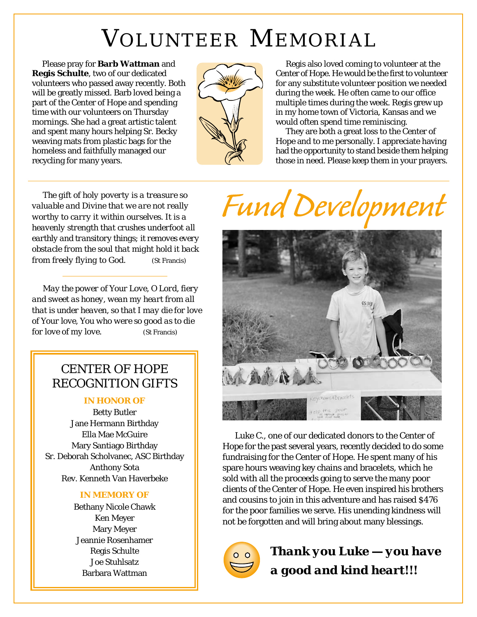## VOLUNTEER MEMORIAL

Please pray for **Barb Wattman** and **Regis Schulte**, two of our dedicated volunteers who passed away recently. Both will be greatly missed. Barb loved being a part of the Center of Hope and spending time with our volunteers on Thursday mornings. She had a great artistic talent and spent many hours helping Sr. Becky weaving mats from plastic bags for the homeless and faithfully managed our recycling for many years.



Regis also loved coming to volunteer at the Center of Hope. He would be the first to volunteer for any substitute volunteer position we needed during the week. He often came to our office multiple times during the week. Regis grew up in my home town of Victoria, Kansas and we would often spend time reminiscing.

They are both a great loss to the Center of Hope and to me personally. I appreciate having had the opportunity to stand beside them helping those in need. Please keep them in your prayers.

*The gift of holy poverty is a treasure so valuable and Divine that we are not really worthy to carry it within ourselves. It is a heavenly strength that crushes underfoot all earthly and transitory things; it removes every obstacle from the soul that might hold it back from freely flying to God*. (St Francis)

*May the power of Your Love, O Lord, fiery and sweet as honey, wean my heart from all that is under heaven, so that I may die for love of Your love, You who were so good as to die for love of my love.* (St Francis)

#### CENTER OF HOPE RECOGNITION GIFTS

#### *IN HONOR OF*

Betty Butler Jane Hermann Birthday Ella Mae McGuire Mary Santiago Birthday Sr. Deborah Scholvanec, ASC Birthday Anthony Sota Rev. Kenneth Van Haverbeke

#### *IN MEMORY OF*

Bethany Nicole Chawk Ken Meyer Mary Meyer Jeannie Rosenhamer Regis Schulte Joe Stuhlsatz Barbara Wattman

# Fund Development



Luke C., one of our dedicated donors to the Center of Hope for the past several years, recently decided to do some fundraising for the Center of Hope. He spent many of his spare hours weaving key chains and bracelets, which he sold with all the proceeds going to serve the many poor clients of the Center of Hope. He even inspired his brothers and cousins to join in this adventure and has raised \$476 for the poor families we serve. His unending kindness will not be forgotten and will bring about many blessings.



*Thank you Luke — you have a good and kind heart!!!*